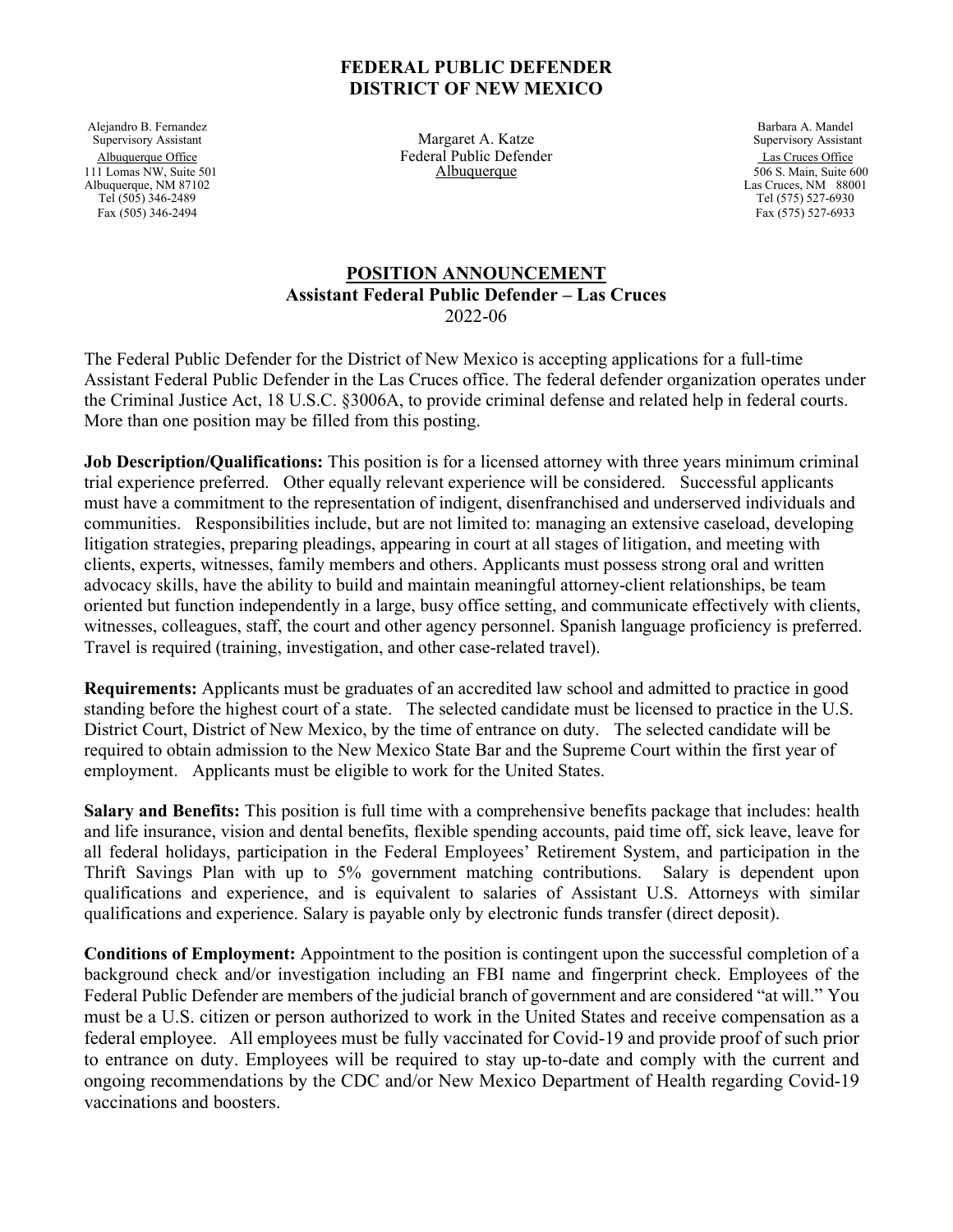## **FEDERAL PUBLIC DEFENDER DISTRICT OF NEW MEXICO**

Alejandro B. Fernandez<br>
Supervisory Assistant Supervisory Assistant Supervisory Assistant Supervisory Assistant Supervisory Assistant 111 Lomas NW, Suite 501 **Albuquerque** 506 S. Main, Suite 600<br>Albuquerque, NM 87102 **Albuquerque** 506 S. Main, Suite 600 Albuquerque, NM 87102<br>Tel (505) 346-2489 Tel (505) 346-2489<br>
Fax (505) 346-2494<br>
Fax (505) 346-2494<br>
Fax (575) 527-6933

Margaret A. Katze Albuquerque Office Federal Public Defender<br>
1 Lomas NW, Suite 501 **Albuquerque** 1 Lomas NW, Suite 501 **Albuquerque** 506 S. Main, Suite 600

Fax (575) 527-6933

## **POSITION ANNOUNCEMENT Assistant Federal Public Defender – Las Cruces** 2022-06

The Federal Public Defender for the District of New Mexico is accepting applications for a full-time Assistant Federal Public Defender in the Las Cruces office. The federal defender organization operates under the Criminal Justice Act, 18 U.S.C. §3006A, to provide criminal defense and related help in federal courts. More than one position may be filled from this posting.

**Job Description/Qualifications:** This position is for a licensed attorney with three years minimum criminal trial experience preferred. Other equally relevant experience will be considered. Successful applicants must have a commitment to the representation of indigent, disenfranchised and underserved individuals and communities. Responsibilities include, but are not limited to: managing an extensive caseload, developing litigation strategies, preparing pleadings, appearing in court at all stages of litigation, and meeting with clients, experts, witnesses, family members and others. Applicants must possess strong oral and written advocacy skills, have the ability to build and maintain meaningful attorney-client relationships, be team oriented but function independently in a large, busy office setting, and communicate effectively with clients, witnesses, colleagues, staff, the court and other agency personnel. Spanish language proficiency is preferred. Travel is required (training, investigation, and other case-related travel).

**Requirements:** Applicants must be graduates of an accredited law school and admitted to practice in good standing before the highest court of a state. The selected candidate must be licensed to practice in the U.S. District Court, District of New Mexico, by the time of entrance on duty. The selected candidate will be required to obtain admission to the New Mexico State Bar and the Supreme Court within the first year of employment. Applicants must be eligible to work for the United States.

**Salary and Benefits:** This position is full time with a comprehensive benefits package that includes: health and life insurance, vision and dental benefits, flexible spending accounts, paid time off, sick leave, leave for all federal holidays, participation in the Federal Employees' Retirement System, and participation in the Thrift Savings Plan with up to 5% government matching contributions. Salary is dependent upon qualifications and experience, and is equivalent to salaries of Assistant U.S. Attorneys with similar qualifications and experience. Salary is payable only by electronic funds transfer (direct deposit).

**Conditions of Employment:** Appointment to the position is contingent upon the successful completion of a background check and/or investigation including an FBI name and fingerprint check. Employees of the Federal Public Defender are members of the judicial branch of government and are considered "at will." You must be a U.S. citizen or person authorized to work in the United States and receive compensation as a federal employee. All employees must be fully vaccinated for Covid-19 and provide proof of such prior to entrance on duty. Employees will be required to stay up-to-date and comply with the current and ongoing recommendations by the CDC and/or New Mexico Department of Health regarding Covid-19 vaccinations and boosters.